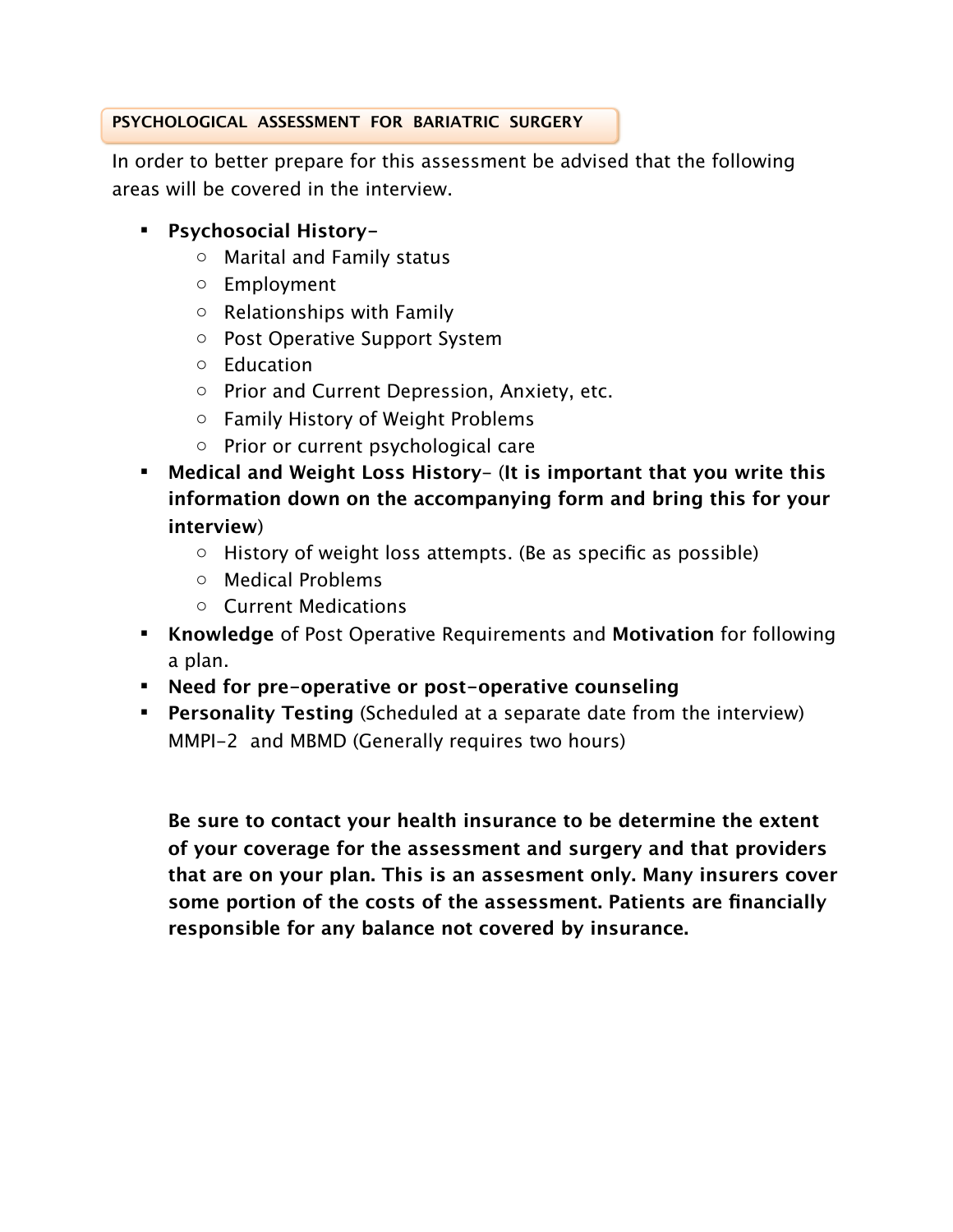## **PSYCHOLOGICAL ASSESSMENT FOR BARIATRIC SURGERY**

In order to better prepare for this assessment be advised that the following areas will be covered in the interview.

- **Psychosocial History**
	- o Marital and Family status
	- o Employment
	- o Relationships with Family
	- o Post Operative Support System
	- o Education
	- o Prior and Current Depression, Anxiety, etc.
	- o Family History of Weight Problems
	- o Prior or current psychological care
- **Medical and Weight Loss History** (**It is important that you write this information down on the accompanying form and bring this for your interview**)
	- $\circ$  History of weight loss attempts. (Be as specific as possible)
	- o Medical Problems
	- o Current Medications
- **Knowledge** of Post Operative Requirements and **Motivation** for following a plan.
- **Need for pre-operative or post-operative counseling**
- **Personality Testing** (Scheduled at a separate date from the interview) MMPI-2 and MBMD (Generally requires two hours)

**Be sure to contact your health insurance to be determine the extent of your coverage for the assessment and surgery and that providers that are on your plan. This is an assesment only. Many insurers cover some portion of the costs of the assessment. Patients are financially responsible for any balance not covered by insurance.**